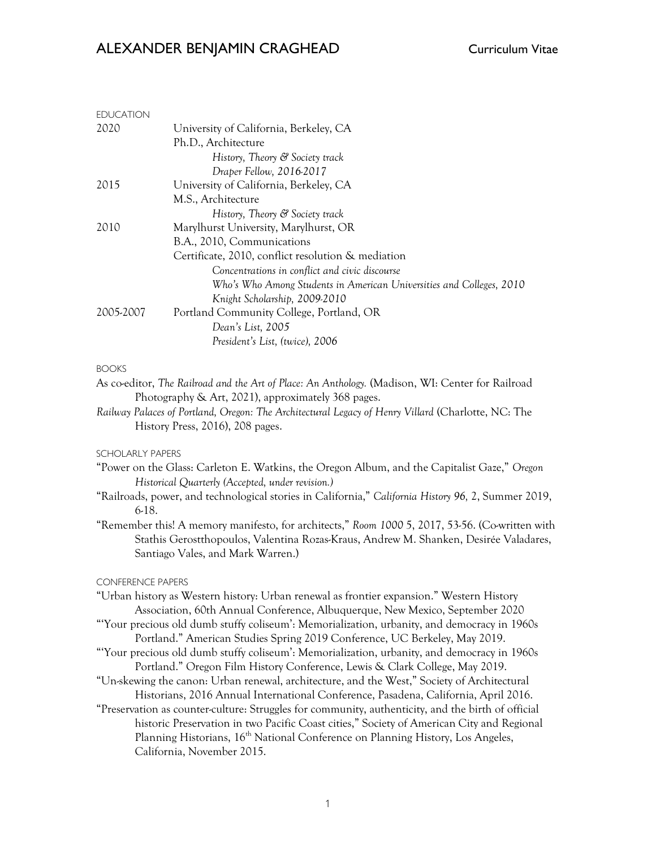# ALEXANDER BENJAMIN CRAGHEAD Curriculum Vitae

| <b>EDUCATION</b>                                                                                                                                                           |                                                                                                    |  |  |  |  |  |  |  |
|----------------------------------------------------------------------------------------------------------------------------------------------------------------------------|----------------------------------------------------------------------------------------------------|--|--|--|--|--|--|--|
| 2020                                                                                                                                                                       | University of California, Berkeley, CA                                                             |  |  |  |  |  |  |  |
|                                                                                                                                                                            | Ph.D., Architecture                                                                                |  |  |  |  |  |  |  |
|                                                                                                                                                                            | History, Theory & Society track                                                                    |  |  |  |  |  |  |  |
|                                                                                                                                                                            | Draper Fellow, 2016-2017                                                                           |  |  |  |  |  |  |  |
| 2015                                                                                                                                                                       | University of California, Berkeley, CA<br>M.S., Architecture                                       |  |  |  |  |  |  |  |
|                                                                                                                                                                            | History, Theory & Society track                                                                    |  |  |  |  |  |  |  |
| 2010                                                                                                                                                                       | Marylhurst University, Marylhurst, OR                                                              |  |  |  |  |  |  |  |
|                                                                                                                                                                            | B.A., 2010, Communications                                                                         |  |  |  |  |  |  |  |
|                                                                                                                                                                            | Certificate, 2010, conflict resolution & mediation                                                 |  |  |  |  |  |  |  |
|                                                                                                                                                                            | Concentrations in conflict and civic discourse                                                     |  |  |  |  |  |  |  |
|                                                                                                                                                                            | Who's Who Among Students in American Universities and Colleges, 2010                               |  |  |  |  |  |  |  |
|                                                                                                                                                                            | Knight Scholarship, 2009-2010                                                                      |  |  |  |  |  |  |  |
| 2005-2007                                                                                                                                                                  | Portland Community College, Portland, OR                                                           |  |  |  |  |  |  |  |
|                                                                                                                                                                            | Dean's List, 2005                                                                                  |  |  |  |  |  |  |  |
|                                                                                                                                                                            | President's List, (twice), 2006                                                                    |  |  |  |  |  |  |  |
| <b>BOOKS</b>                                                                                                                                                               |                                                                                                    |  |  |  |  |  |  |  |
|                                                                                                                                                                            | As co-editor, The Railroad and the Art of Place: An Anthology. (Madison, WI: Center for Railroad   |  |  |  |  |  |  |  |
|                                                                                                                                                                            | Photography & Art, 2021), approximately 368 pages.                                                 |  |  |  |  |  |  |  |
|                                                                                                                                                                            | Railway Palaces of Portland, Oregon: The Architectural Legacy of Henry Villard (Charlotte, NC: The |  |  |  |  |  |  |  |
|                                                                                                                                                                            | History Press, 2016), 208 pages.                                                                   |  |  |  |  |  |  |  |
|                                                                                                                                                                            |                                                                                                    |  |  |  |  |  |  |  |
| <b>SCHOLARLY PAPERS</b>                                                                                                                                                    |                                                                                                    |  |  |  |  |  |  |  |
| "Power on the Glass: Carleton E. Watkins, the Oregon Album, and the Capitalist Gaze," Oregon                                                                               |                                                                                                    |  |  |  |  |  |  |  |
| Historical Quarterly (Accepted, under revision.)<br>"Railroads, power, and technological stories in California," California History 96, 2, Summer 2019,                    |                                                                                                    |  |  |  |  |  |  |  |
| $6-18.$                                                                                                                                                                    |                                                                                                    |  |  |  |  |  |  |  |
|                                                                                                                                                                            | "Remember this! A memory manifesto, for architects," Room 1000 5, 2017, 53-56. (Co-written with    |  |  |  |  |  |  |  |
| Stathis Gerostthopoulos, Valentina Rozas-Kraus, Andrew M. Shanken, Desirée Valadares,                                                                                      |                                                                                                    |  |  |  |  |  |  |  |
|                                                                                                                                                                            | Santiago Vales, and Mark Warren.)                                                                  |  |  |  |  |  |  |  |
|                                                                                                                                                                            |                                                                                                    |  |  |  |  |  |  |  |
| <b>CONFERENCE PAPERS</b>                                                                                                                                                   |                                                                                                    |  |  |  |  |  |  |  |
|                                                                                                                                                                            | "Urban history as Western history: Urban renewal as frontier expansion." Western History           |  |  |  |  |  |  |  |
|                                                                                                                                                                            | Association, 60th Annual Conference, Albuquerque, New Mexico, September 2020                       |  |  |  |  |  |  |  |
|                                                                                                                                                                            | "Your precious old dumb stuffy coliseum': Memorialization, urbanity, and democracy in 1960s        |  |  |  |  |  |  |  |
|                                                                                                                                                                            | Portland." American Studies Spring 2019 Conference, UC Berkeley, May 2019.                         |  |  |  |  |  |  |  |
| "Your precious old dumb stuffy coliseum': Memorialization, urbanity, and democracy in 1960s<br>Portland." Oregon Film History Conference, Lewis & Clark College, May 2019. |                                                                                                    |  |  |  |  |  |  |  |
| "Un-skewing the canon: Urban renewal, architecture, and the West," Society of Architectural                                                                                |                                                                                                    |  |  |  |  |  |  |  |
|                                                                                                                                                                            | Historians, 2016 Annual International Conference, Pasadena, California, April 2016.                |  |  |  |  |  |  |  |
|                                                                                                                                                                            | "Preservation as counter-culture: Struggles for community, authenticity, and the birth of official |  |  |  |  |  |  |  |
|                                                                                                                                                                            | historic Preservation in two Pacific Coast cities," Society of American City and Regional          |  |  |  |  |  |  |  |
|                                                                                                                                                                            | Planning Historians, 16 <sup>th</sup> National Conference on Planning History, Los Angeles,        |  |  |  |  |  |  |  |
|                                                                                                                                                                            | California, November 2015.                                                                         |  |  |  |  |  |  |  |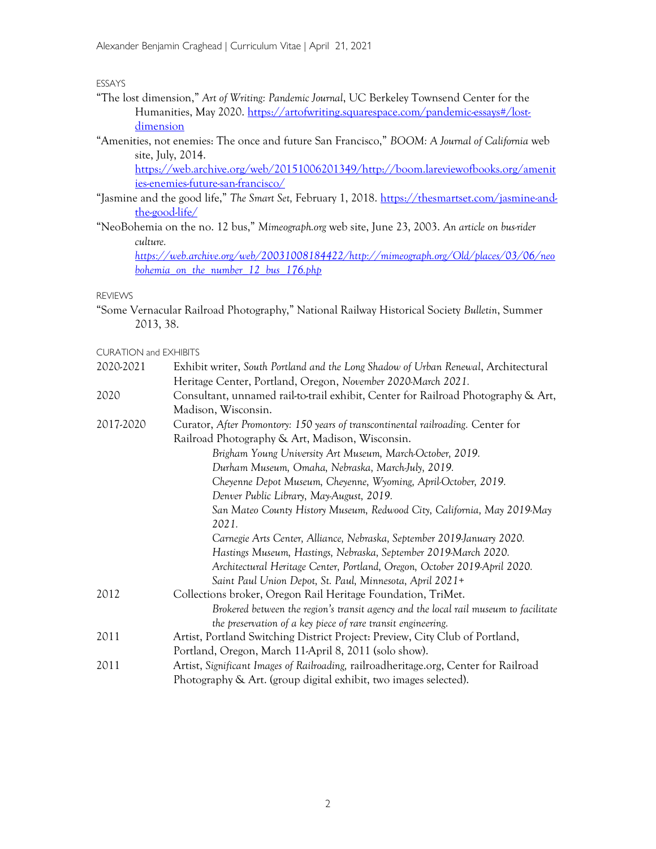ESSAYS

- "The lost dimension," Art of Writing: Pandemic Journal, UC Berkeley Townsend Center for the Humanities, May 2020. https://artofwriting.squarespace.com/pandemic-essays#/lostdimension
- "Amenities, not enemies: The once and future San Francisco," BOOM: A Journal of California web site, July, 2014.

https://web.archive.org/web/20151006201349/http://boom.lareviewofbooks.org/amenit ies-enemies-future-san-francisco/

- "Jasmine and the good life," The Smart Set, February 1, 2018. https://thesmartset.com/jasmine-andthe-good-life/
- "NeoBohemia on the no. 12 bus," Mimeograph.org web site, June 23, 2003. An article on bus-rider culture.

https://web.archive.org/web/20031008184422/http://mimeograph.org/Old/places/03/06/neo bohemia on the number 12 bus 176.php

REVIEWS

"Some Vernacular Railroad Photography," National Railway Historical Society Bulletin, Summer 2013, 38.

CURATION and EXHIBITS

| 2020-2021 | Exhibit writer, South Portland and the Long Shadow of Urban Renewal, Architectural   |  |  |  |  |  |  |  |
|-----------|--------------------------------------------------------------------------------------|--|--|--|--|--|--|--|
|           | Heritage Center, Portland, Oregon, November 2020-March 2021.                         |  |  |  |  |  |  |  |
| 2020      | Consultant, unnamed rail-to-trail exhibit, Center for Railroad Photography & Art,    |  |  |  |  |  |  |  |
|           | Madison, Wisconsin.                                                                  |  |  |  |  |  |  |  |
| 2017-2020 | Curator, After Promontory: 150 years of transcontinental railroading. Center for     |  |  |  |  |  |  |  |
|           | Railroad Photography & Art, Madison, Wisconsin.                                      |  |  |  |  |  |  |  |
|           | Brigham Young University Art Museum, March-October, 2019.                            |  |  |  |  |  |  |  |
|           | Durham Museum, Omaha, Nebraska, MarchJuly, 2019.                                     |  |  |  |  |  |  |  |
|           | Cheyenne Depot Museum, Cheyenne, Wyoming, April-October, 2019.                       |  |  |  |  |  |  |  |
|           | Denver Public Library, May-August, 2019.                                             |  |  |  |  |  |  |  |
|           | San Mateo County History Museum, Redwood City, California, May 2019-May              |  |  |  |  |  |  |  |
|           | 2021.                                                                                |  |  |  |  |  |  |  |
|           | Carnegie Arts Center, Alliance, Nebraska, September 2019-January 2020.               |  |  |  |  |  |  |  |
|           | Hastings Museum, Hastings, Nebraska, September 2019-March 2020.                      |  |  |  |  |  |  |  |
|           | Architectural Heritage Center, Portland, Oregon, October 2019-April 2020.            |  |  |  |  |  |  |  |
|           | Saint Paul Union Depot, St. Paul, Minnesota, April 2021+                             |  |  |  |  |  |  |  |
| 2012      | Collections broker, Oregon Rail Heritage Foundation, TriMet.                         |  |  |  |  |  |  |  |
|           | Brokered between the region's transit agency and the local rail museum to facilitate |  |  |  |  |  |  |  |
|           | the preservation of a key piece of rare transit engineering.                         |  |  |  |  |  |  |  |
| 2011      | Artist, Portland Switching District Project: Preview, City Club of Portland,         |  |  |  |  |  |  |  |
|           | Portland, Oregon, March 11-April 8, 2011 (solo show).                                |  |  |  |  |  |  |  |
| 2011      | Artist, Significant Images of Railroading, railroadheritage.org, Center for Railroad |  |  |  |  |  |  |  |
|           | Photography & Art. (group digital exhibit, two images selected).                     |  |  |  |  |  |  |  |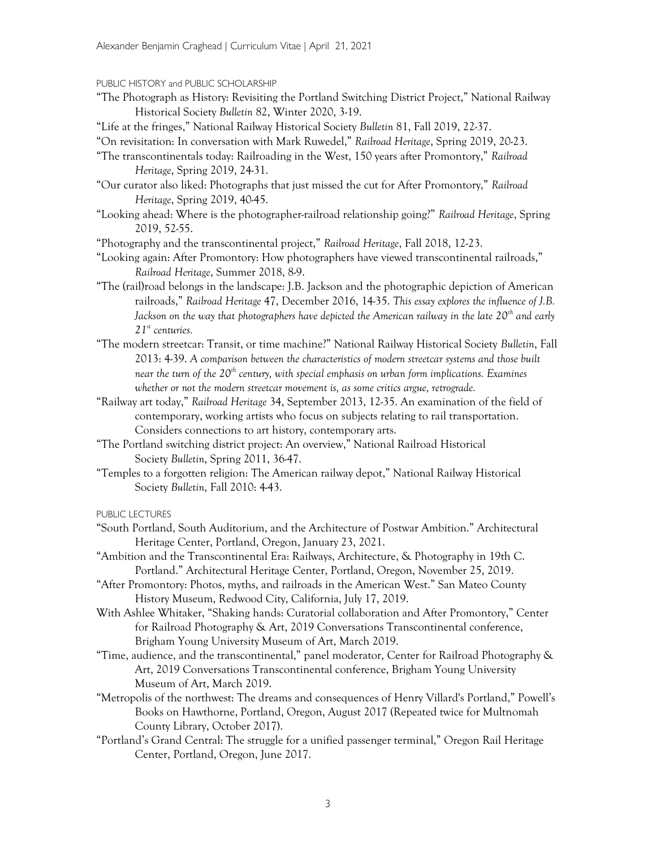#### PUBLIC HISTORY and PUBLIC SCHOLARSHIP

- "The Photograph as History: Revisiting the Portland Switching District Project," National Railway Historical Society Bulletin 82, Winter 2020, 3-19.
- "Life at the fringes," National Railway Historical Society Bulletin 81, Fall 2019, 22-37.
- "On revisitation: In conversation with Mark Ruwedel," Railroad Heritage, Spring 2019, 20-23.
- "The transcontinentals today: Railroading in the West, 150 years after Promontory," Railroad Heritage, Spring 2019, 24-31.
- "Our curator also liked: Photographs that just missed the cut for After Promontory," Railroad Heritage, Spring 2019, 40-45.
- "Looking ahead: Where is the photographer-railroad relationship going?" Railroad Heritage, Spring 2019, 52-55.

"Photography and the transcontinental project," Railroad Heritage, Fall 2018, 12-23.

- "Looking again: After Promontory: How photographers have viewed transcontinental railroads," Railroad Heritage, Summer 2018, 8-9.
- "The (rail)road belongs in the landscape: J.B. Jackson and the photographic depiction of American railroads," Railroad Heritage 47, December 2016, 14-35. This essay explores the influence of J.B. Jackson on the way that photographers have depicted the American railway in the late  $20^{th}$  and early  $21<sup>st</sup>$  centuries.
- "The modern streetcar: Transit, or time machine?" National Railway Historical Society Bulletin, Fall 2013: 4-39. A comparison between the characteristics of modern streetcar systems and those built near the turn of the 20<sup>th</sup> century, with special emphasis on urban form implications. Examines whether or not the modern streetcar movement is, as some critics argue, retrograde.
- "Railway art today," Railroad Heritage 34, September 2013, 12-35. An examination of the field of contemporary, working artists who focus on subjects relating to rail transportation. Considers connections to art history, contemporary arts.
- "The Portland switching district project: An overview," National Railroad Historical Society Bulletin, Spring 2011, 36-47.
- "Temples to a forgotten religion: The American railway depot," National Railway Historical Society Bulletin, Fall 2010: 4-43.

PUBLIC LECTURES

- "South Portland, South Auditorium, and the Architecture of Postwar Ambition." Architectural Heritage Center, Portland, Oregon, January 23, 2021.
- "Ambition and the Transcontinental Era: Railways, Architecture, & Photography in 19th C. Portland." Architectural Heritage Center, Portland, Oregon, November 25, 2019.
- "After Promontory: Photos, myths, and railroads in the American West." San Mateo County History Museum, Redwood City, California, July 17, 2019.
- With Ashlee Whitaker, "Shaking hands: Curatorial collaboration and After Promontory," Center for Railroad Photography & Art, 2019 Conversations Transcontinental conference, Brigham Young University Museum of Art, March 2019.
- "Time, audience, and the transcontinental," panel moderator, Center for Railroad Photography & Art, 2019 Conversations Transcontinental conference, Brigham Young University Museum of Art, March 2019.
- "Metropolis of the northwest: The dreams and consequences of Henry Villard's Portland," Powell's Books on Hawthorne, Portland, Oregon, August 2017 (Repeated twice for Multnomah County Library, October 2017).
- "Portland's Grand Central: The struggle for a unified passenger terminal," Oregon Rail Heritage Center, Portland, Oregon, June 2017.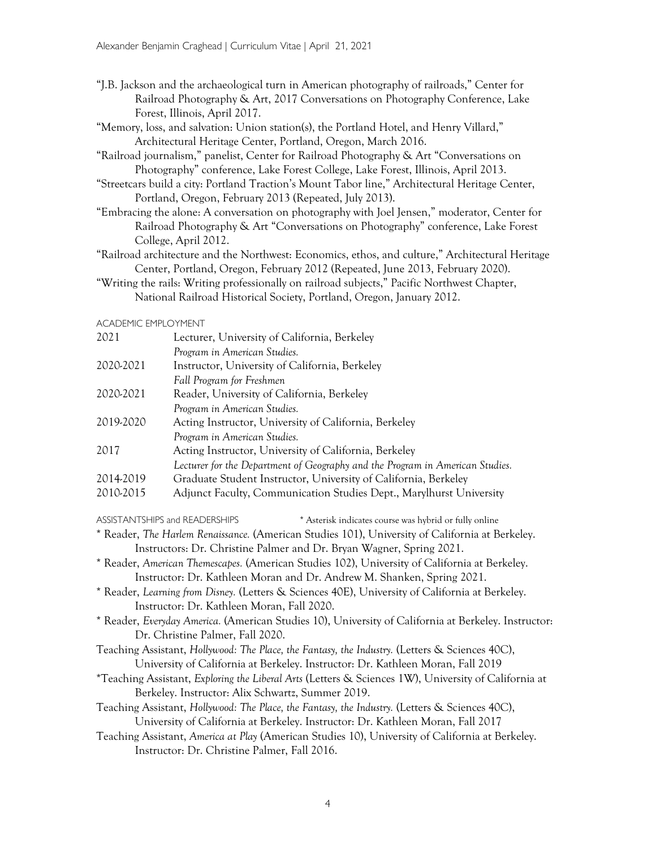- "J.B. Jackson and the archaeological turn in American photography of railroads," Center for Railroad Photography & Art, 2017 Conversations on Photography Conference, Lake Forest, Illinois, April 2017.
- "Memory, loss, and salvation: Union station(s), the Portland Hotel, and Henry Villard," Architectural Heritage Center, Portland, Oregon, March 2016.
- "Railroad journalism," panelist, Center for Railroad Photography & Art "Conversations on Photography" conference, Lake Forest College, Lake Forest, Illinois, April 2013.
- "Streetcars build a city: Portland Traction's Mount Tabor line," Architectural Heritage Center, Portland, Oregon, February 2013 (Repeated, July 2013).
- "Embracing the alone: A conversation on photography with Joel Jensen," moderator, Center for Railroad Photography & Art "Conversations on Photography" conference, Lake Forest College, April 2012.
- "Railroad architecture and the Northwest: Economics, ethos, and culture," Architectural Heritage Center, Portland, Oregon, February 2012 (Repeated, June 2013, February 2020).
- "Writing the rails: Writing professionally on railroad subjects," Pacific Northwest Chapter, National Railroad Historical Society, Portland, Oregon, January 2012.

#### ACADEMIC EMPLOYMENT

| 2021<br>Lecturer, University of California, Berkeley |                                                                               |  |  |  |  |  |
|------------------------------------------------------|-------------------------------------------------------------------------------|--|--|--|--|--|
|                                                      | Program in American Studies.                                                  |  |  |  |  |  |
| 2020-2021                                            | Instructor, University of California, Berkeley                                |  |  |  |  |  |
|                                                      | Fall Program for Freshmen                                                     |  |  |  |  |  |
| 2020-2021                                            | Reader, University of California, Berkeley                                    |  |  |  |  |  |
|                                                      | Program in American Studies.                                                  |  |  |  |  |  |
| 2019-2020                                            | Acting Instructor, University of California, Berkeley                         |  |  |  |  |  |
|                                                      | Program in American Studies.                                                  |  |  |  |  |  |
| 2017                                                 | Acting Instructor, University of California, Berkeley                         |  |  |  |  |  |
|                                                      | Lecturer for the Department of Geography and the Program in American Studies. |  |  |  |  |  |
| 2014-2019                                            | Graduate Student Instructor, University of California, Berkeley               |  |  |  |  |  |
| 2010-2015                                            | Adjunct Faculty, Communication Studies Dept., Marylhurst University           |  |  |  |  |  |

ASSISTANTSHIPS and READERSHIPS \* Asterisk indicates course was hybrid or fully online \* Reader, The Harlem Renaissance. (American Studies 101), University of California at Berkeley.

Instructors: Dr. Christine Palmer and Dr. Bryan Wagner, Spring 2021.

- \* Reader, American Themescapes. (American Studies 102), University of California at Berkeley. Instructor: Dr. Kathleen Moran and Dr. Andrew M. Shanken, Spring 2021.
- \* Reader, Learning from Disney. (Letters & Sciences 40E), University of California at Berkeley. Instructor: Dr. Kathleen Moran, Fall 2020.
- \* Reader, Everyday America. (American Studies 10), University of California at Berkeley. Instructor: Dr. Christine Palmer, Fall 2020.
- Teaching Assistant, Hollywood: The Place, the Fantasy, the Industry. (Letters & Sciences 40C), University of California at Berkeley. Instructor: Dr. Kathleen Moran, Fall 2019
- \*Teaching Assistant, Exploring the Liberal Arts (Letters & Sciences 1W), University of California at Berkeley. Instructor: Alix Schwartz, Summer 2019.
- Teaching Assistant, Hollywood: The Place, the Fantasy, the Industry. (Letters & Sciences 40C), University of California at Berkeley. Instructor: Dr. Kathleen Moran, Fall 2017
- Teaching Assistant, America at Play (American Studies 10), University of California at Berkeley. Instructor: Dr. Christine Palmer, Fall 2016.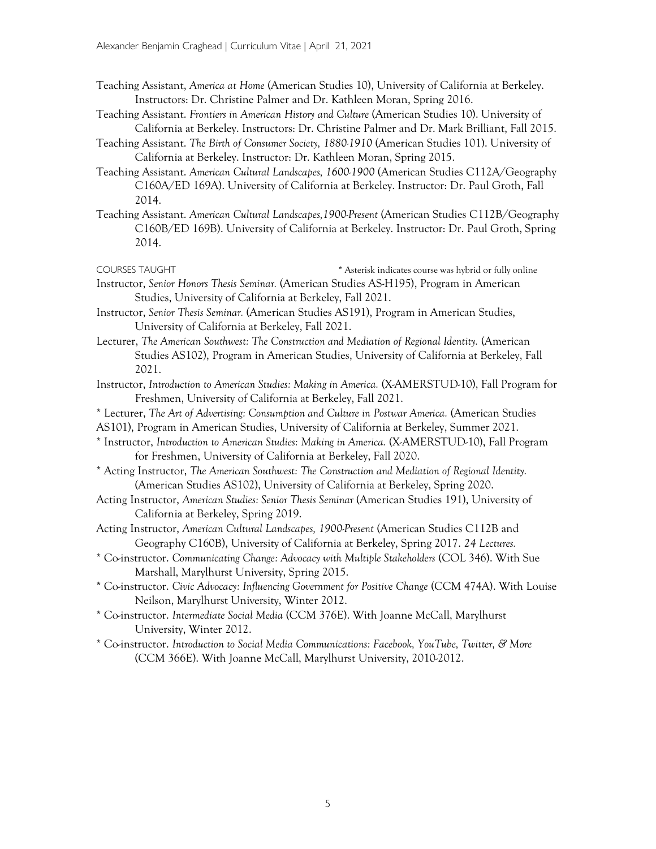- Teaching Assistant, America at Home (American Studies 10), University of California at Berkeley. Instructors: Dr. Christine Palmer and Dr. Kathleen Moran, Spring 2016.
- Teaching Assistant. Frontiers in American History and Culture (American Studies 10). University of California at Berkeley. Instructors: Dr. Christine Palmer and Dr. Mark Brilliant, Fall 2015.
- Teaching Assistant. The Birth of Consumer Society, 1880-1910 (American Studies 101). University of California at Berkeley. Instructor: Dr. Kathleen Moran, Spring 2015.
- Teaching Assistant. American Cultural Landscapes, 1600-1900 (American Studies C112A/Geography C160A/ED 169A). University of California at Berkeley. Instructor: Dr. Paul Groth, Fall 2014.
- Teaching Assistant. American Cultural Landscapes,1900-Present (American Studies C112B/Geography C160B/ED 169B). University of California at Berkeley. Instructor: Dr. Paul Groth, Spring 2014.
- COURSES TAUGHT **\*** Asterisk indicates course was hybrid or fully online
- Instructor, Senior Honors Thesis Seminar. (American Studies AS-H195), Program in American Studies, University of California at Berkeley, Fall 2021.
- Instructor, Senior Thesis Seminar. (American Studies AS191), Program in American Studies, University of California at Berkeley, Fall 2021.
- Lecturer, The American Southwest: The Construction and Mediation of Regional Identity. (American Studies AS102), Program in American Studies, University of California at Berkeley, Fall 2021.
- Instructor, Introduction to American Studies: Making in America. (X-AMERSTUD-10), Fall Program for Freshmen, University of California at Berkeley, Fall 2021.
- \* Lecturer, The Art of Advertising: Consumption and Culture in Postwar America. (American Studies
- AS101), Program in American Studies, University of California at Berkeley, Summer 2021.
- \* Instructor, Introduction to American Studies: Making in America. (X-AMERSTUD-10), Fall Program for Freshmen, University of California at Berkeley, Fall 2020.
- \* Acting Instructor, The American Southwest: The Construction and Mediation of Regional Identity. (American Studies AS102), University of California at Berkeley, Spring 2020.
- Acting Instructor, American Studies: Senior Thesis Seminar (American Studies 191), University of California at Berkeley, Spring 2019.
- Acting Instructor, American Cultural Landscapes, 1900-Present (American Studies C112B and Geography C160B), University of California at Berkeley, Spring 2017. 24 Lectures.
- \* Co-instructor. Communicating Change: Advocacy with Multiple Stakeholders (COL 346). With Sue Marshall, Marylhurst University, Spring 2015.
- \* Co-instructor. Civic Advocacy: Influencing Government for Positive Change (CCM 474A). With Louise Neilson, Marylhurst University, Winter 2012.
- \* Co-instructor. Intermediate Social Media (CCM 376E). With Joanne McCall, Marylhurst University, Winter 2012.
- \* Co-instructor. Introduction to Social Media Communications: Facebook, YouTube, Twitter, & More (CCM 366E). With Joanne McCall, Marylhurst University, 2010-2012.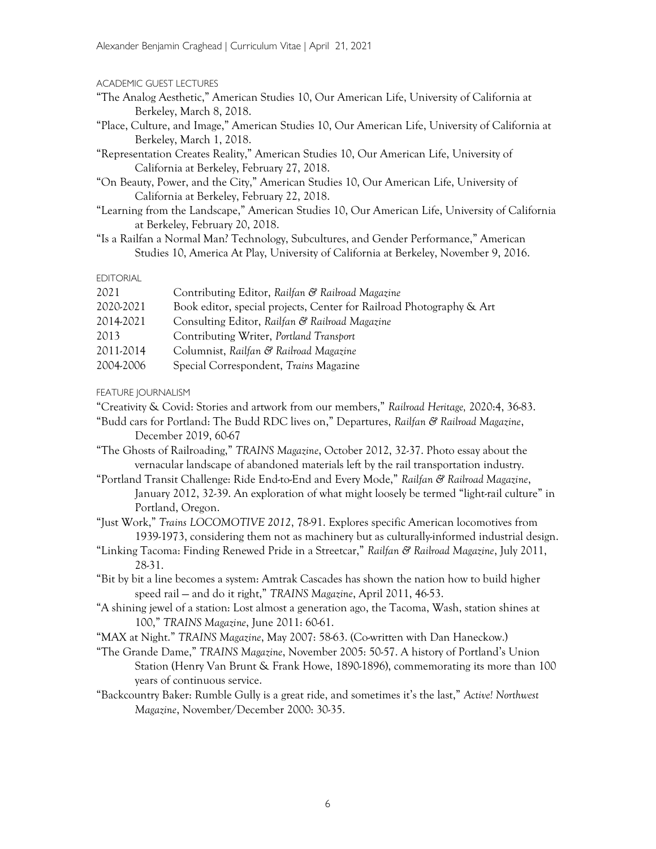### ACADEMIC GUEST LECTURES

- "The Analog Aesthetic," American Studies 10, Our American Life, University of California at Berkeley, March 8, 2018.
- "Place, Culture, and Image," American Studies 10, Our American Life, University of California at Berkeley, March 1, 2018.
- "Representation Creates Reality," American Studies 10, Our American Life, University of California at Berkeley, February 27, 2018.
- "On Beauty, Power, and the City," American Studies 10, Our American Life, University of California at Berkeley, February 22, 2018.
- "Learning from the Landscape," American Studies 10, Our American Life, University of California at Berkeley, February 20, 2018.
- "Is a Railfan a Normal Man? Technology, Subcultures, and Gender Performance," American Studies 10, America At Play, University of California at Berkeley, November 9, 2016.

## EDITORIAL

| 2021      | Contributing Editor, Railfan & Railroad Magazine                     |
|-----------|----------------------------------------------------------------------|
| 2020-2021 | Book editor, special projects, Center for Railroad Photography & Art |
| 2014-2021 | Consulting Editor, Railfan & Railroad Magazine                       |
| 2013      | Contributing Writer, Portland Transport                              |
| 2011-2014 | Columnist, Railfan & Railroad Magazine                               |
| 2004-2006 | Special Correspondent, Trains Magazine                               |

FEATURE JOURNALISM

"Creativity & Covid: Stories and artwork from our members," Railroad Heritage, 2020:4, 36-83.

"Budd cars for Portland: The Budd RDC lives on," Departures, Railfan & Railroad Magazine, December 2019, 60-67

"The Ghosts of Railroading," TRAINS Magazine, October 2012, 32-37. Photo essay about the vernacular landscape of abandoned materials left by the rail transportation industry.

"Portland Transit Challenge: Ride End-to-End and Every Mode," Railfan & Railroad Magazine, January 2012, 32-39. An exploration of what might loosely be termed "light-rail culture" in Portland, Oregon.

- "Just Work," Trains LOCOMOTIVE 2012, 78-91. Explores specific American locomotives from 1939-1973, considering them not as machinery but as culturally-informed industrial design.
- "Linking Tacoma: Finding Renewed Pride in a Streetcar," Railfan & Railroad Magazine, July 2011, 28-31.
- "Bit by bit a line becomes a system: Amtrak Cascades has shown the nation how to build higher speed rail — and do it right," TRAINS Magazine, April 2011, 46-53.
- "A shining jewel of a station: Lost almost a generation ago, the Tacoma, Wash, station shines at 100," TRAINS Magazine, June 2011: 60-61.
- "MAX at Night." TRAINS Magazine, May 2007: 58-63. (Co-written with Dan Haneckow.)
- "The Grande Dame," TRAINS Magazine, November 2005: 50-57. A history of Portland's Union Station (Henry Van Brunt & Frank Howe, 1890-1896), commemorating its more than 100 years of continuous service.
- "Backcountry Baker: Rumble Gully is a great ride, and sometimes it's the last," Active! Northwest Magazine, November/December 2000: 30-35.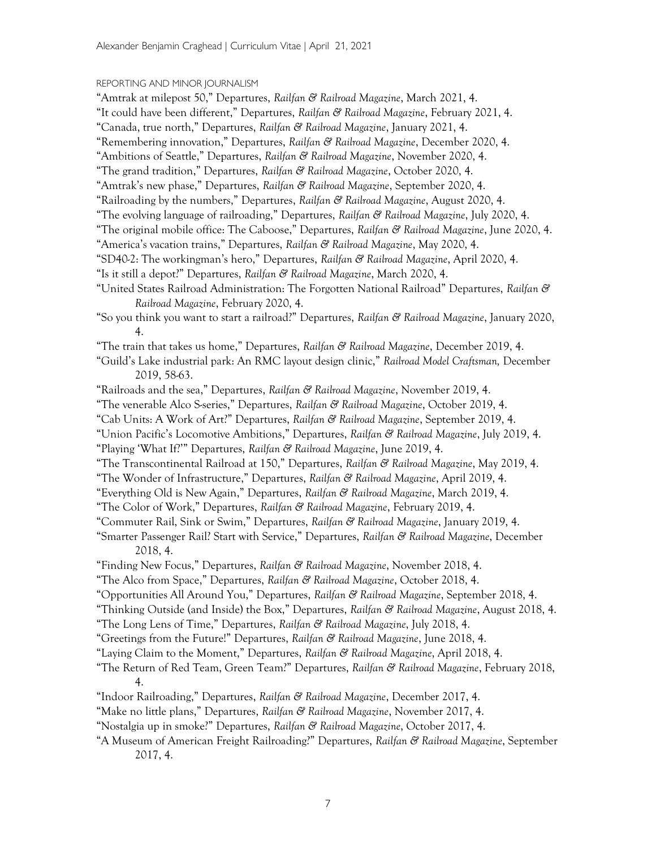## REPORTING AND MINOR JOURNALISM

| "Amtrak at milepost 50," Departures, R <i>ailfan &amp; Railroad Magazine</i> , March 2021, 4.                           |  |
|-------------------------------------------------------------------------------------------------------------------------|--|
| "It could have been different," Departures, Railfan & Railroad Magazine, February 2021, 4.                              |  |
| "Canada, true north," Departures, Railfan & Railroad Magazine, January 2021, 4.                                         |  |
| "Remembering innovation," Departures, Railfan & Railroad Magazine, December 2020, 4.                                    |  |
| "Ambitions of Seattle," Departures, Railfan & Railroad Magazine, November 2020, 4.                                      |  |
| "The grand tradition," Departures, Railfan & Railroad Magazine, October 2020, 4.                                        |  |
| "Amtrak's new phase," Departures, Railfan & Railroad Magazine, September 2020, 4.                                       |  |
| "Railroading by the numbers," Departures, Railfan & Railroad Magazine, August 2020, 4.                                  |  |
| "The evolving language of railroading," Departures, Railfan & Railroad Magazine, July 2020, 4.                          |  |
| "The original mobile office: The Caboose," Departures, Railfan & Railroad Magazine, June 2020, 4.                       |  |
| "America's vacation trains," Departures, Railfan & Railroad Magazine, May 2020, 4.                                      |  |
| "SD40-2: The workingman's hero," Departures, Railfan & Railroad Magazine, April 2020, 4.                                |  |
| "Is it still a depot?" Departures, Railfan & Railroad Magazine, March 2020, 4.                                          |  |
| "United States Railroad Administration: The Forgotten National Railroad" Departures, Railfan &                          |  |
| Railroad Magazine, February 2020, 4.                                                                                    |  |
| "So you think you want to start a railroad?" Departures, Railfan & Railroad Magazine, January 2020,<br>4.               |  |
| "The train that takes us home," Departures, Railfan & Railroad Magazine, December 2019, 4.                              |  |
| "Guild's Lake industrial park: An RMC layout design clinic," <i>Railroad Model Craftsman</i> , December<br>2019, 58-63. |  |
| "Railroads and the sea," Departures, Railfan & Railroad Magazine, November 2019, 4.                                     |  |
| "The venerable Alco S-series," Departures, Railfan & Railroad Magazine, October 2019, 4.                                |  |
| "Cab Units: A Work of Art?" Departures, Railfan & Railroad Magazine, September 2019, 4.                                 |  |
| "Union Pacific's Locomotive Ambitions," Departures, Railfan & Railroad Magazine, July 2019, 4.                          |  |
| "Playing 'What If!'" Departures, Railfan & Railroad Magazine, June 2019, 4.                                             |  |
| "The Transcontinental Railroad at 150," Departures, <i>Railfan &amp; Railroad Magazine</i> , May 2019, 4.               |  |
| "The Wonder of Infrastructure," Departures, Railfan & Railroad Magazine, April 2019, 4.                                 |  |
| "Everything Old is New Again," Departures, Railfan & Railroad Magazine, March 2019, 4.                                  |  |
| "The Color of Work," Departures, Railfan & Railroad Magazine, February 2019, 4.                                         |  |
| "Commuter Rail, Sink or Swim," Departures, Railfan & Railroad Magazine, January 2019, 4.                                |  |
| "Smarter Passenger Rail? Start with Service," Departures, Railfan & Railroad Magazine, December<br>2018, 4.             |  |
| "Finding New Focus," Departures, Railfan & Railroad Magazine, November 2018, 4.                                         |  |
| "The Alco from Space," Departures, Railfan & Railroad Magazine, October 2018, 4.                                        |  |
| "Opportunities All Around You," Departures, Railfan & Railroad Magazine, September 2018, 4.                             |  |
| "Thinking Outside (and Inside) the Box," Departures, Railfan & Railroad Magazine, August 2018, 4.                       |  |
| "The Long Lens of Time," Departures, Railfan & Railroad Magazine, July 2018, 4.                                         |  |
| "Greetings from the Future!" Departures, Railfan & Railroad Magazine, June 2018, 4.                                     |  |
| "Laying Claim to the Moment," Departures, Railfan & Railroad Magazine, April 2018, 4.                                   |  |
| "The Return of Red Team, Green Team?" Departures, Railfan & Railroad Magazine, February 2018,<br>4.                     |  |
| "Indoor Railroading," Departures, Railfan & Railroad Magazine, December 2017, 4.                                        |  |
| "Make no little plans," Departures, Railfan & Railroad Magazine, November 2017, 4.                                      |  |
| "Nostalgia up in smoke?" Departures, Railfan & Railroad Magazine, October 2017, 4.                                      |  |
|                                                                                                                         |  |

"A Museum of American Freight Railroading!" Departures, Railfan & Railroad Magazine, September 2017, 4.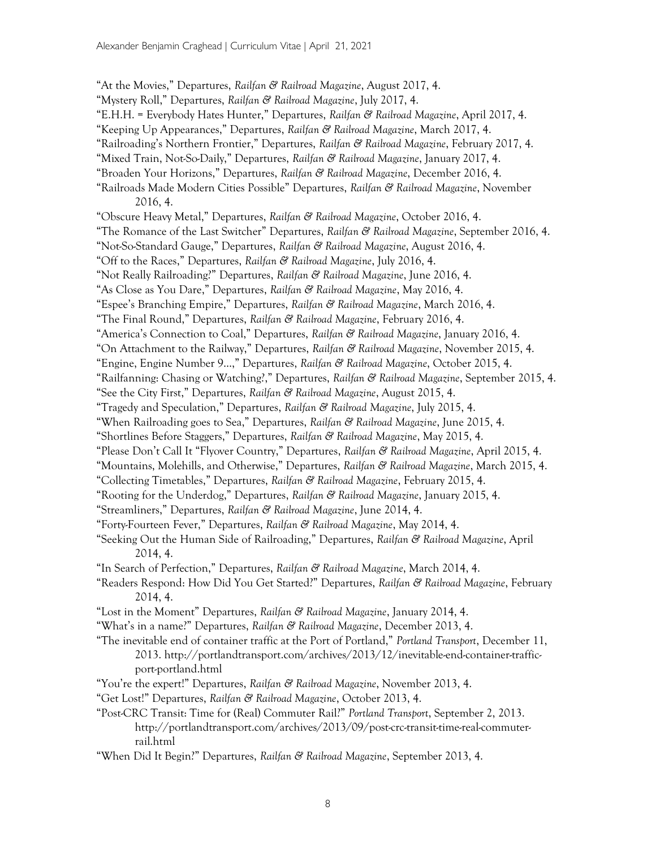"At the Movies," Departures, Railfan & Railroad Magazine, August 2017, 4. "Mystery Roll," Departures, Railfan & Railroad Magazine, July 2017, 4. "E.H.H. = Everybody Hates Hunter," Departures, Railfan & Railroad Magazine, April 2017, 4. "Keeping Up Appearances," Departures, Railfan & Railroad Magazine, March 2017, 4. "Railroading's Northern Frontier," Departures, Railfan & Railroad Magazine, February 2017, 4. "Mixed Train, Not-So-Daily," Departures, Railfan & Railroad Magazine, January 2017, 4. "Broaden Your Horizons," Departures, Railfan & Railroad Magazine, December 2016, 4. "Railroads Made Modern Cities Possible" Departures, Railfan & Railroad Magazine, November 2016, 4. "Obscure Heavy Metal," Departures, Railfan & Railroad Magazine, October 2016, 4. "The Romance of the Last Switcher" Departures, Railfan & Railroad Magazine, September 2016, 4. "Not-So-Standard Gauge," Departures, Railfan & Railroad Magazine, August 2016, 4. "Off to the Races," Departures, Railfan & Railroad Magazine, July 2016, 4. "Not Really Railroading?" Departures, Railfan & Railroad Magazine, June 2016, 4. "As Close as You Dare," Departures, Railfan & Railroad Magazine, May 2016, 4. "Espee's Branching Empire," Departures, Railfan & Railroad Magazine, March 2016, 4. "The Final Round," Departures, Railfan & Railroad Magazine, February 2016, 4. "America's Connection to Coal," Departures, Railfan & Railroad Magazine, January 2016, 4. "On Attachment to the Railway," Departures, Railfan & Railroad Magazine, November 2015, 4. "Engine, Engine Number 9...," Departures, Railfan & Railroad Magazine, October 2015, 4. "Railfanning: Chasing or Watching?," Departures, Railfan & Railroad Magazine, September 2015, 4. "See the City First," Departures, Railfan & Railroad Magazine, August 2015, 4. "Tragedy and Speculation," Departures, Railfan & Railroad Magazine, July 2015, 4. "When Railroading goes to Sea," Departures, Railfan & Railroad Magazine, June 2015, 4. "Shortlines Before Staggers," Departures, Railfan & Railroad Magazine, May 2015, 4. "Please Don't Call It "Flyover Country," Departures, Railfan & Railroad Magazine, April 2015, 4. "Mountains, Molehills, and Otherwise," Departures, Railfan & Railroad Magazine, March 2015, 4. "Collecting Timetables," Departures, Railfan & Railroad Magazine, February 2015, 4. "Rooting for the Underdog," Departures, Railfan & Railroad Magazine, January 2015, 4. "Streamliners," Departures, Railfan & Railroad Magazine, June 2014, 4. "Forty-Fourteen Fever," Departures, Railfan & Railroad Magazine, May 2014, 4. "Seeking Out the Human Side of Railroading," Departures, Railfan & Railroad Magazine, April 2014, 4. "In Search of Perfection," Departures, Railfan & Railroad Magazine, March 2014, 4. "Readers Respond: How Did You Get Started?" Departures, Railfan & Railroad Magazine, February 2014, 4. "Lost in the Moment" Departures, Railfan & Railroad Magazine, January 2014, 4. "What's in a name?" Departures, Railfan & Railroad Magazine, December 2013, 4. "The inevitable end of container traffic at the Port of Portland," Portland Transport, December 11, 2013. http://portlandtransport.com/archives/2013/12/inevitable-end-container-trafficport-portland.html "You're the expert!" Departures, Railfan & Railroad Magazine, November 2013, 4. "Get Lost!" Departures, Railfan & Railroad Magazine, October 2013, 4. "Post-CRC Transit: Time for (Real) Commuter Rail?" Portland Transport, September 2, 2013. http://portlandtransport.com/archives/2013/09/post-crc-transit-time-real-commuterrail.html

"When Did It Begin?" Departures, Railfan & Railroad Magazine, September 2013, 4.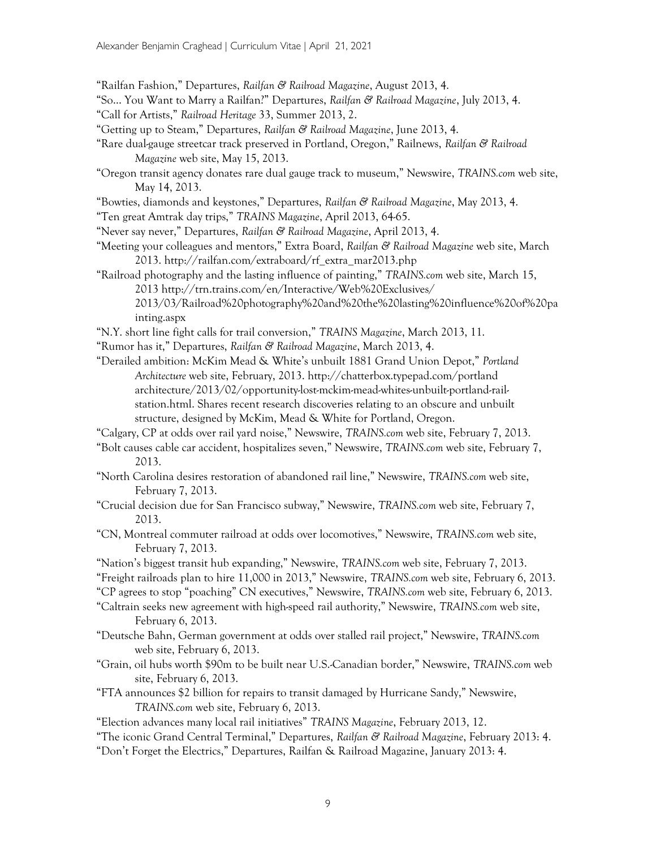"Railfan Fashion," Departures, Railfan & Railroad Magazine, August 2013, 4.

"So… You Want to Marry a Railfan?" Departures, Railfan & Railroad Magazine, July 2013, 4.

- "Getting up to Steam," Departures, Railfan & Railroad Magazine, June 2013, 4.
- "Rare dual-gauge streetcar track preserved in Portland, Oregon," Railnews, Railfan & Railroad Magazine web site, May 15, 2013.
- "Oregon transit agency donates rare dual gauge track to museum," Newswire, TRAINS.com web site, May 14, 2013.
- "Bowties, diamonds and keystones," Departures, Railfan & Railroad Magazine, May 2013, 4.
- "Ten great Amtrak day trips," TRAINS Magazine, April 2013, 64-65.
- "Never say never," Departures, Railfan & Railroad Magazine, April 2013, 4.
- "Meeting your colleagues and mentors," Extra Board, Railfan & Railroad Magazine web site, March 2013. http://railfan.com/extraboard/rf\_extra\_mar2013.php
- "Railroad photography and the lasting influence of painting," TRAINS.com web site, March 15, 2013 http://trn.trains.com/en/Interactive/Web%20Exclusives/ 2013/03/Railroad%20photography%20and%20the%20lasting%20influence%20of%20pa inting.aspx
- "N.Y. short line fight calls for trail conversion," TRAINS Magazine, March 2013, 11.
- "Rumor has it," Departures, Railfan & Railroad Magazine, March 2013, 4.
- "Derailed ambition: McKim Mead & White's unbuilt 1881 Grand Union Depot," Portland Architecture web site, February, 2013. http://chatterbox.typepad.com/portland architecture/2013/02/opportunity-lost-mckim-mead-whites-unbuilt-portland-railstation.html. Shares recent research discoveries relating to an obscure and unbuilt structure, designed by McKim, Mead & White for Portland, Oregon.
- "Calgary, CP at odds over rail yard noise," Newswire, TRAINS.com web site, February 7, 2013.
- "Bolt causes cable car accident, hospitalizes seven," Newswire, TRAINS.com web site, February 7, 2013.
- "North Carolina desires restoration of abandoned rail line," Newswire, TRAINS.com web site, February 7, 2013.
- "Crucial decision due for San Francisco subway," Newswire, TRAINS.com web site, February 7, 2013.
- "CN, Montreal commuter railroad at odds over locomotives," Newswire, TRAINS.com web site, February 7, 2013.
- "Nation's biggest transit hub expanding," Newswire, TRAINS.com web site, February 7, 2013. "Freight railroads plan to hire 11,000 in 2013," Newswire, TRAINS.com web site, February 6, 2013. "CP agrees to stop "poaching" CN executives," Newswire, TRAINS.com web site, February 6, 2013.
- "Caltrain seeks new agreement with high-speed rail authority," Newswire, TRAINS.com web site, February 6, 2013.
- "Deutsche Bahn, German government at odds over stalled rail project," Newswire, TRAINS.com web site, February 6, 2013.
- "Grain, oil hubs worth \$90m to be built near U.S.-Canadian border," Newswire, TRAINS.com web site, February 6, 2013.
- "FTA announces \$2 billion for repairs to transit damaged by Hurricane Sandy," Newswire, TRAINS.com web site, February 6, 2013.
- "Election advances many local rail initiatives" TRAINS Magazine, February 2013, 12.
- "The iconic Grand Central Terminal," Departures, Railfan & Railroad Magazine, February 2013: 4.
- "Don't Forget the Electrics," Departures, Railfan & Railroad Magazine, January 2013: 4.

<sup>&</sup>quot;Call for Artists," Railroad Heritage 33, Summer 2013, 2.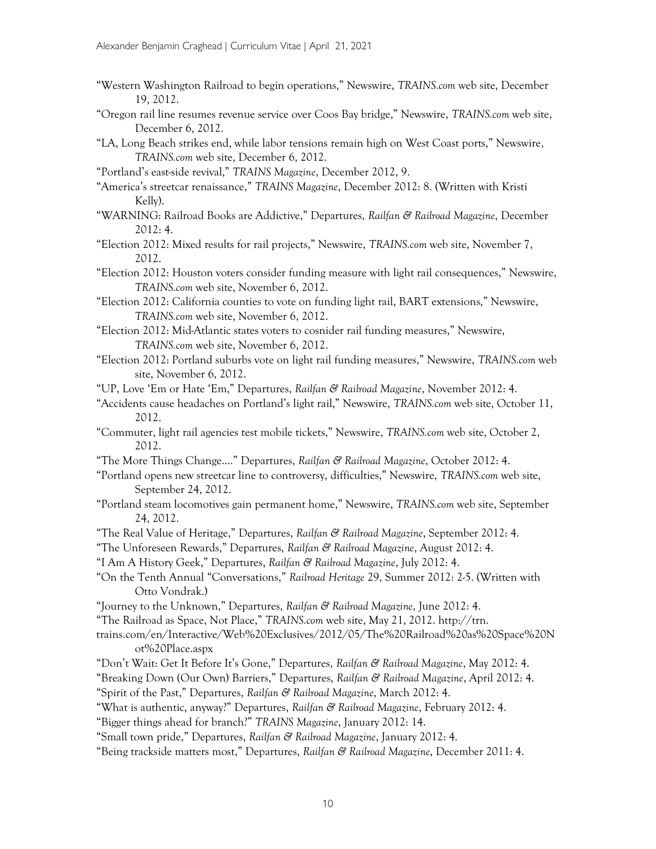- "Western Washington Railroad to begin operations," Newswire, TRAINS.com web site, December 19, 2012.
- "Oregon rail line resumes revenue service over Coos Bay bridge," Newswire, TRAINS.com web site, December 6, 2012.
- "LA, Long Beach strikes end, while labor tensions remain high on West Coast ports," Newswire, TRAINS.com web site, December 6, 2012.
- "Portland's east-side revival," TRAINS Magazine, December 2012, 9.
- "America's streetcar renaissance," TRAINS Magazine, December 2012: 8. (Written with Kristi Kelly).
- "WARNING: Railroad Books are Addictive," Departures, Railfan & Railroad Magazine, December 2012: 4.
- "Election 2012: Mixed results for rail projects," Newswire, TRAINS.com web site, November 7, 2012.
- "Election 2012: Houston voters consider funding measure with light rail consequences," Newswire, TRAINS.com web site, November 6, 2012.
- "Election 2012: California counties to vote on funding light rail, BART extensions," Newswire, TRAINS.com web site, November 6, 2012.
- "Election 2012: Mid-Atlantic states voters to cosnider rail funding measures," Newswire, TRAINS.com web site, November 6, 2012.
- "Election 2012: Portland suburbs vote on light rail funding measures," Newswire, TRAINS.com web site, November 6, 2012.
- "UP, Love 'Em or Hate 'Em," Departures, Railfan & Railroad Magazine, November 2012: 4.
- "Accidents cause headaches on Portland's light rail," Newswire, TRAINS.com web site, October 11, 2012.
- "Commuter, light rail agencies test mobile tickets," Newswire, TRAINS.com web site, October 2, 2012.
- "The More Things Change…." Departures, Railfan & Railroad Magazine, October 2012: 4.
- "Portland opens new streetcar line to controversy, difficulties," Newswire, TRAINS.com web site, September 24, 2012.
- "Portland steam locomotives gain permanent home," Newswire, TRAINS.com web site, September 24, 2012.
- "The Real Value of Heritage," Departures, Railfan & Railroad Magazine, September 2012: 4.
- "The Unforeseen Rewards," Departures, Railfan & Railroad Magazine, August 2012: 4.
- "I Am A History Geek," Departures, Railfan & Railroad Magazine, July 2012: 4.
- "On the Tenth Annual "Conversations," Railroad Heritage 29, Summer 2012: 2-5. (Written with Otto Vondrak.)
- "Journey to the Unknown," Departures, Railfan & Railroad Magazine, June 2012: 4.
- "The Railroad as Space, Not Place," TRAINS.com web site, May 21, 2012. http://trn.
- trains.com/en/Interactive/Web%20Exclusives/2012/05/The%20Railroad%20as%20Space%20N ot%20Place.aspx
- "Don't Wait: Get It Before It's Gone," Departures, Railfan & Railroad Magazine, May 2012: 4.
- "Breaking Down (Our Own) Barriers," Departures, Railfan & Railroad Magazine, April 2012: 4.
- "Spirit of the Past," Departures, Railfan & Railroad Magazine, March 2012: 4.
- "What is authentic, anyway?" Departures, Railfan & Railroad Magazine, February 2012: 4.
- "Bigger things ahead for branch?" TRAINS Magazine, January 2012: 14.
- "Small town pride," Departures, Railfan & Railroad Magazine, January 2012: 4.
- "Being trackside matters most," Departures, Railfan & Railroad Magazine, December 2011: 4.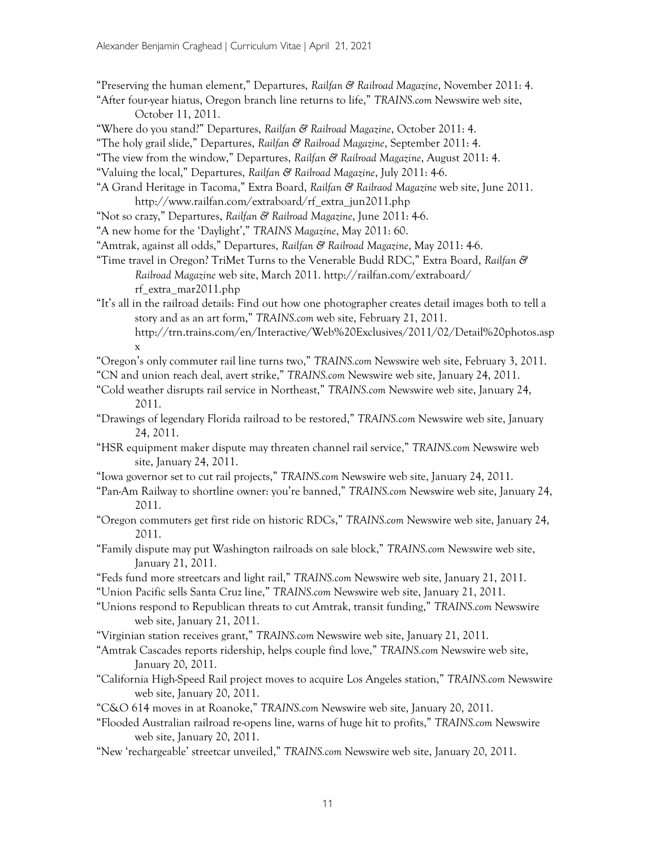- "Preserving the human element," Departures, Railfan & Railroad Magazine, November 2011: 4.
- "After four-year hiatus, Oregon branch line returns to life," TRAINS.com Newswire web site, October 11, 2011.
- "Where do you stand?" Departures, Railfan & Railroad Magazine, October 2011: 4.
- "The holy grail slide," Departures, Railfan & Railroad Magazine, September 2011: 4.
- "The view from the window," Departures, Railfan & Railroad Magazine, August 2011: 4.
- "Valuing the local," Departures, Railfan & Railroad Magazine, July 2011: 4-6.
- "A Grand Heritage in Tacoma," Extra Board, Railfan & Railraod Magazine web site, June 2011. http://www.railfan.com/extraboard/rf\_extra\_jun2011.php
- "Not so crazy," Departures, Railfan & Railroad Magazine, June 2011: 4-6.
- "A new home for the 'Daylight'," TRAINS Magazine, May 2011: 60.
- "Amtrak, against all odds," Departures, Railfan & Railroad Magazine, May 2011: 4-6.
- "Time travel in Oregon? TriMet Turns to the Venerable Budd RDC," Extra Board, Railfan & Railroad Magazine web site, March 2011. http://railfan.com/extraboard/ rf\_extra\_mar2011.php
- "It's all in the railroad details: Find out how one photographer creates detail images both to tell a story and as an art form," TRAINS.com web site, February 21, 2011.
	- http://trn.trains.com/en/Interactive/Web%20Exclusives/2011/02/Detail%20photos.asp x

"Oregon's only commuter rail line turns two," TRAINS.com Newswire web site, February 3, 2011.

- "CN and union reach deal, avert strike," TRAINS.com Newswire web site, January 24, 2011.
- "Cold weather disrupts rail service in Northeast," TRAINS.com Newswire web site, January 24, 2011.
- "Drawings of legendary Florida railroad to be restored," TRAINS.com Newswire web site, January 24, 2011.
- "HSR equipment maker dispute may threaten channel rail service," TRAINS.com Newswire web site, January 24, 2011.
- "Iowa governor set to cut rail projects," TRAINS.com Newswire web site, January 24, 2011.
- "Pan-Am Railway to shortline owner: you're banned," TRAINS.com Newswire web site, January 24, 2011.
- "Oregon commuters get first ride on historic RDCs," TRAINS.com Newswire web site, January 24, 2011.
- "Family dispute may put Washington railroads on sale block," TRAINS.com Newswire web site, January 21, 2011.
- "Feds fund more streetcars and light rail," TRAINS.com Newswire web site, January 21, 2011.
- "Union Pacific sells Santa Cruz line," TRAINS.com Newswire web site, January 21, 2011.
- "Unions respond to Republican threats to cut Amtrak, transit funding," TRAINS.com Newswire web site, January 21, 2011.
- "Virginian station receives grant," TRAINS.com Newswire web site, January 21, 2011.
- "Amtrak Cascades reports ridership, helps couple find love," TRAINS.com Newswire web site, January 20, 2011.
- "California High-Speed Rail project moves to acquire Los Angeles station," TRAINS.com Newswire web site, January 20, 2011.
- "C&O 614 moves in at Roanoke," TRAINS.com Newswire web site, January 20, 2011.
- "Flooded Australian railroad re-opens line, warns of huge hit to profits," TRAINS.com Newswire web site, January 20, 2011.
- "New 'rechargeable' streetcar unveiled," TRAINS.com Newswire web site, January 20, 2011.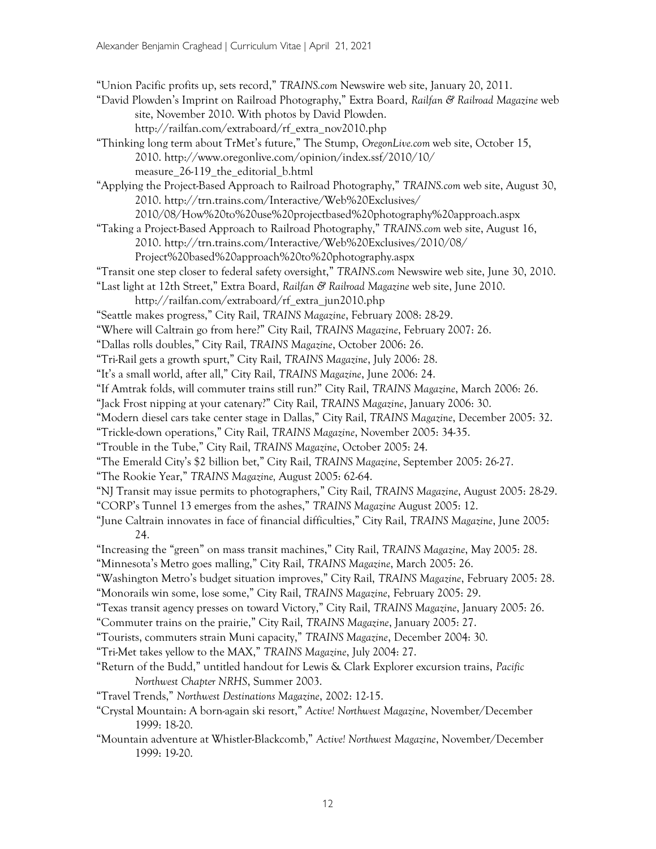"Union Pacific profits up, sets record," TRAINS.com Newswire web site, January 20, 2011.

- "David Plowden's Imprint on Railroad Photography," Extra Board, Railfan & Railroad Magazine web site, November 2010. With photos by David Plowden. http://railfan.com/extraboard/rf\_extra\_nov2010.php
- "Thinking long term about TrMet's future," The Stump, OregonLive.com web site, October 15, 2010. http://www.oregonlive.com/opinion/index.ssf/2010/10/ measure\_26-119\_the\_editorial\_b.html

"Applying the Project-Based Approach to Railroad Photography," TRAINS.com web site, August 30, 2010. http://trn.trains.com/Interactive/Web%20Exclusives/

- 2010/08/How%20to%20use%20projectbased%20photography%20approach.aspx "Taking a Project-Based Approach to Railroad Photography," TRAINS.com web site, August 16,
- 2010. http://trn.trains.com/Interactive/Web%20Exclusives/2010/08/

Project%20based%20approach%20to%20photography.aspx

- "Transit one step closer to federal safety oversight," TRAINS.com Newswire web site, June 30, 2010.
- "Last light at 12th Street," Extra Board, Railfan & Railroad Magazine web site, June 2010. http://railfan.com/extraboard/rf\_extra\_jun2010.php
- "Seattle makes progress," City Rail, TRAINS Magazine, February 2008: 28-29.
- "Where will Caltrain go from here?" City Rail, TRAINS Magazine, February 2007: 26.
- "Dallas rolls doubles," City Rail, TRAINS Magazine, October 2006: 26.
- "Tri-Rail gets a growth spurt," City Rail, TRAINS Magazine, July 2006: 28.
- "It's a small world, after all," City Rail, TRAINS Magazine, June 2006: 24.

"If Amtrak folds, will commuter trains still run?" City Rail, TRAINS Magazine, March 2006: 26.

- "Jack Frost nipping at your catenary?" City Rail, TRAINS Magazine, January 2006: 30.
- "Modern diesel cars take center stage in Dallas," City Rail, TRAINS Magazine, December 2005: 32.
- "Trickle-down operations," City Rail, TRAINS Magazine, November 2005: 34-35.
- "Trouble in the Tube," City Rail, TRAINS Magazine, October 2005: 24.
- "The Emerald City's \$2 billion bet," City Rail, TRAINS Magazine, September 2005: 26-27.
- "The Rookie Year," TRAINS Magazine, August 2005: 62-64.
- "NJ Transit may issue permits to photographers," City Rail, TRAINS Magazine, August 2005: 28-29.
- "CORP's Tunnel 13 emerges from the ashes," TRAINS Magazine August 2005: 12.
- "June Caltrain innovates in face of financial difficulties," City Rail, TRAINS Magazine, June 2005: 24.
- "Increasing the "green" on mass transit machines," City Rail, TRAINS Magazine, May 2005: 28.
- "Minnesota's Metro goes malling," City Rail, TRAINS Magazine, March 2005: 26.
- "Washington Metro's budget situation improves," City Rail, TRAINS Magazine, February 2005: 28.
- "Monorails win some, lose some," City Rail, TRAINS Magazine, February 2005: 29.
- "Texas transit agency presses on toward Victory," City Rail, TRAINS Magazine, January 2005: 26.
- "Commuter trains on the prairie," City Rail, TRAINS Magazine, January 2005: 27.

"Tourists, commuters strain Muni capacity," TRAINS Magazine, December 2004: 30.

- "Tri-Met takes yellow to the MAX," TRAINS Magazine, July 2004: 27.
- "Return of the Budd," untitled handout for Lewis & Clark Explorer excursion trains, Pacific Northwest Chapter NRHS, Summer 2003.
- "Travel Trends," Northwest Destinations Magazine, 2002: 12-15.
- "Crystal Mountain: A born-again ski resort," Active! Northwest Magazine, November/December 1999: 18-20.
- "Mountain adventure at Whistler-Blackcomb," Active! Northwest Magazine, November/December 1999: 19-20.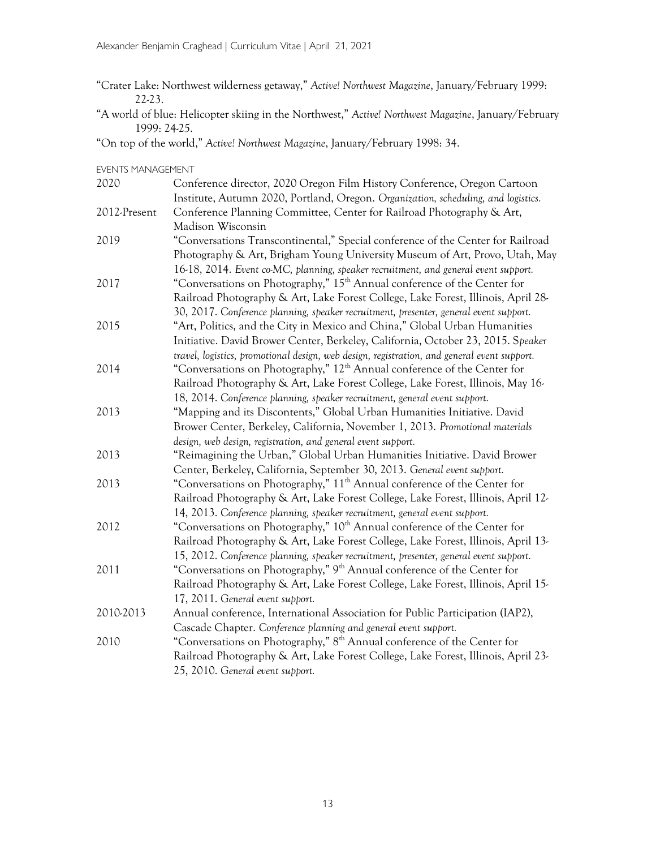"Crater Lake: Northwest wilderness getaway," Active! Northwest Magazine, January/February 1999: 22-23.

"A world of blue: Helicopter skiing in the Northwest," Active! Northwest Magazine, January/February 1999: 24-25.

"On top of the world," Active! Northwest Magazine, January/February 1998: 34.

EVENTS MANAGEMENT

| 2020         | Conference director, 2020 Oregon Film History Conference, Oregon Cartoon                    |  |  |  |  |  |  |  |
|--------------|---------------------------------------------------------------------------------------------|--|--|--|--|--|--|--|
|              | Institute, Autumn 2020, Portland, Oregon. Organization, scheduling, and logistics.          |  |  |  |  |  |  |  |
| 2012-Present | Conference Planning Committee, Center for Railroad Photography & Art,                       |  |  |  |  |  |  |  |
|              | Madison Wisconsin                                                                           |  |  |  |  |  |  |  |
| 2019         | "Conversations Transcontinental," Special conference of the Center for Railroad             |  |  |  |  |  |  |  |
|              | Photography & Art, Brigham Young University Museum of Art, Provo, Utah, May                 |  |  |  |  |  |  |  |
|              | 16-18, 2014. Event co-MC, planning, speaker recruitment, and general event support.         |  |  |  |  |  |  |  |
| 2017         | "Conversations on Photography," 15 <sup>th</sup> Annual conference of the Center for        |  |  |  |  |  |  |  |
|              | Railroad Photography & Art, Lake Forest College, Lake Forest, Illinois, April 28-           |  |  |  |  |  |  |  |
|              | 30, 2017. Conference planning, speaker recruitment, presenter, general event support.       |  |  |  |  |  |  |  |
| 2015         | "Art, Politics, and the City in Mexico and China," Global Urban Humanities                  |  |  |  |  |  |  |  |
|              | Initiative. David Brower Center, Berkeley, California, October 23, 2015. Speaker            |  |  |  |  |  |  |  |
|              | travel, logistics, promotional design, web design, registration, and general event support. |  |  |  |  |  |  |  |
| 2014         | "Conversations on Photography," 12 <sup>th</sup> Annual conference of the Center for        |  |  |  |  |  |  |  |
|              | Railroad Photography & Art, Lake Forest College, Lake Forest, Illinois, May 16-             |  |  |  |  |  |  |  |
|              | 18, 2014. Conference planning, speaker recruitment, general event support.                  |  |  |  |  |  |  |  |
| 2013         | "Mapping and its Discontents," Global Urban Humanities Initiative. David                    |  |  |  |  |  |  |  |
|              | Brower Center, Berkeley, California, November 1, 2013. Promotional materials                |  |  |  |  |  |  |  |
|              | design, web design, registration, and general event support.                                |  |  |  |  |  |  |  |
| 2013         | "Reimagining the Urban," Global Urban Humanities Initiative. David Brower                   |  |  |  |  |  |  |  |
|              | Center, Berkeley, California, September 30, 2013. General event support.                    |  |  |  |  |  |  |  |
| 2013         | "Conversations on Photography," 11 <sup>th</sup> Annual conference of the Center for        |  |  |  |  |  |  |  |
|              | Railroad Photography & Art, Lake Forest College, Lake Forest, Illinois, April 12-           |  |  |  |  |  |  |  |
|              | 14, 2013. Conference planning, speaker recruitment, general event support.                  |  |  |  |  |  |  |  |
| 2012         | "Conversations on Photography," 10 <sup>th</sup> Annual conference of the Center for        |  |  |  |  |  |  |  |
|              | Railroad Photography & Art, Lake Forest College, Lake Forest, Illinois, April 13-           |  |  |  |  |  |  |  |
|              | 15, 2012. Conference planning, speaker recruitment, presenter, general event support.       |  |  |  |  |  |  |  |
| 2011         | "Conversations on Photography," 9 <sup>th</sup> Annual conference of the Center for         |  |  |  |  |  |  |  |
|              | Railroad Photography & Art, Lake Forest College, Lake Forest, Illinois, April 15-           |  |  |  |  |  |  |  |
|              | 17, 2011. General event support.                                                            |  |  |  |  |  |  |  |
| 2010-2013    | Annual conference, International Association for Public Participation (IAP2),               |  |  |  |  |  |  |  |
|              | Cascade Chapter. Conference planning and general event support.                             |  |  |  |  |  |  |  |
| 2010         | "Conversations on Photography," 8 <sup>th</sup> Annual conference of the Center for         |  |  |  |  |  |  |  |
|              | Railroad Photography & Art, Lake Forest College, Lake Forest, Illinois, April 23-           |  |  |  |  |  |  |  |
|              | 25, 2010. General event support.                                                            |  |  |  |  |  |  |  |